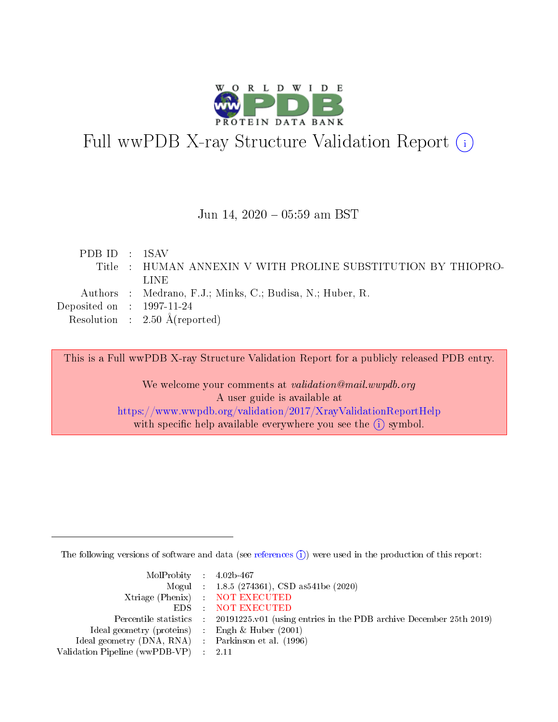

# Full wwPDB X-ray Structure Validation Report (i)

### Jun 14, 2020 05:59 am BST

| PDBID : 1SAV                |                                                               |
|-----------------------------|---------------------------------------------------------------|
|                             | Title : HUMAN ANNEXIN V WITH PROLINE SUBSTITUTION BY THIOPRO- |
|                             | LINE.                                                         |
|                             | Authors : Medrano, F.J.; Minks, C.; Budisa, N.; Huber, R.     |
| Deposited on : $1997-11-24$ |                                                               |
|                             | Resolution : $2.50 \text{ Å}$ (reported)                      |

This is a Full wwPDB X-ray Structure Validation Report for a publicly released PDB entry.

We welcome your comments at validation@mail.wwpdb.org A user guide is available at <https://www.wwpdb.org/validation/2017/XrayValidationReportHelp> with specific help available everywhere you see the  $(i)$  symbol.

The following versions of software and data (see [references](https://www.wwpdb.org/validation/2017/XrayValidationReportHelp#references)  $(i)$ ) were used in the production of this report:

| $MolProbability$ 4.02b-467                          |                                                                                            |
|-----------------------------------------------------|--------------------------------------------------------------------------------------------|
|                                                     | Mogul : $1.8.5$ (274361), CSD as 541be (2020)                                              |
|                                                     | Xtriage (Phenix) NOT EXECUTED                                                              |
|                                                     | EDS NOT EXECUTED                                                                           |
|                                                     | Percentile statistics : 20191225.v01 (using entries in the PDB archive December 25th 2019) |
| Ideal geometry (proteins) :                         | Engh & Huber $(2001)$                                                                      |
| Ideal geometry (DNA, RNA) : Parkinson et al. (1996) |                                                                                            |
| Validation Pipeline (wwPDB-VP) : 2.11               |                                                                                            |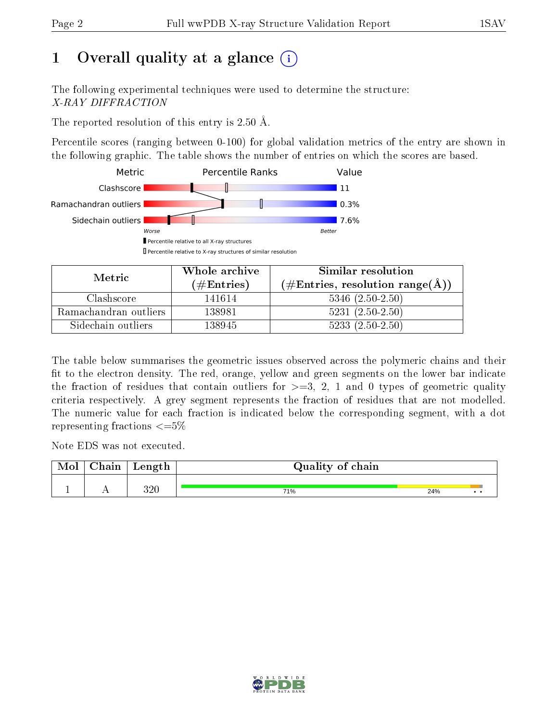# 1 [O](https://www.wwpdb.org/validation/2017/XrayValidationReportHelp#overall_quality)verall quality at a glance  $(i)$

The following experimental techniques were used to determine the structure: X-RAY DIFFRACTION

The reported resolution of this entry is 2.50 Å.

Percentile scores (ranging between 0-100) for global validation metrics of the entry are shown in the following graphic. The table shows the number of entries on which the scores are based.



| Metric                | Whole archive        | Similar resolution                                        |  |  |
|-----------------------|----------------------|-----------------------------------------------------------|--|--|
|                       | $(\#\text{Entries})$ | $(\#\text{Entries}, \text{resolution range}(\text{\AA}))$ |  |  |
| Clashscore            | 141614               | $5346$ $(2.50-2.50)$                                      |  |  |
| Ramachandran outliers | 138981               | $5231 (2.50 - 2.50)$                                      |  |  |
| Sidechain outliers    | 138945               | $5233(2.50-2.50)$                                         |  |  |

The table below summarises the geometric issues observed across the polymeric chains and their fit to the electron density. The red, orange, yellow and green segments on the lower bar indicate the fraction of residues that contain outliers for  $\geq=3$ , 2, 1 and 0 types of geometric quality criteria respectively. A grey segment represents the fraction of residues that are not modelled. The numeric value for each fraction is indicated below the corresponding segment, with a dot representing fractions  $\leq=5\%$ 

Note EDS was not executed.

| Mol | Chain | Length | Quality of chain |     |  |
|-----|-------|--------|------------------|-----|--|
|     |       |        |                  |     |  |
|     |       | 320    | 71%              | 24% |  |

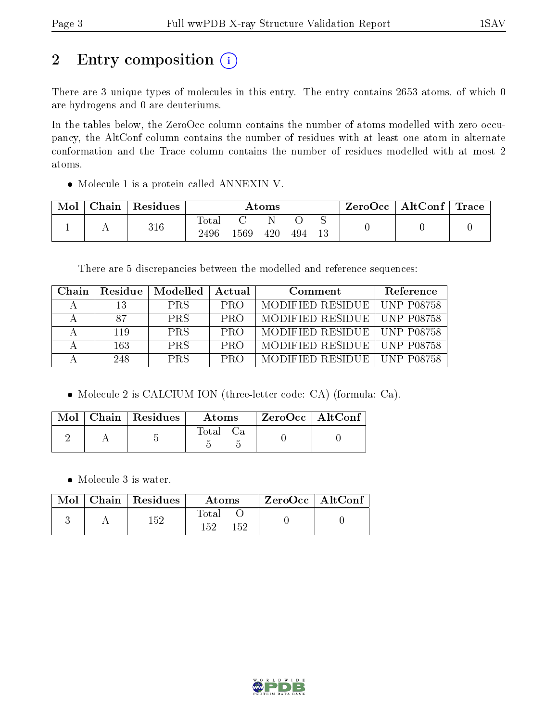# 2 Entry composition (i)

There are 3 unique types of molecules in this entry. The entry contains 2653 atoms, of which 0 are hydrogens and 0 are deuteriums.

In the tables below, the ZeroOcc column contains the number of atoms modelled with zero occupancy, the AltConf column contains the number of residues with at least one atom in alternate conformation and the Trace column contains the number of residues modelled with at most 2 atoms.

Molecule 1 is a protein called ANNEXIN V.

| Mol | Chain   Residues | $\rm{Atoms}$        |      |     |     |  | $\text{ZeroOcc} \mid \text{AltConf} \mid \text{Trace} \mid$ |  |
|-----|------------------|---------------------|------|-----|-----|--|-------------------------------------------------------------|--|
|     | 316              | $\rm Total$<br>2496 | 1569 | 420 | 494 |  |                                                             |  |

There are 5 discrepancies between the modelled and reference sequences:

| Chain | Residue | Modelled   | Actual     | Comment                       | Reference |
|-------|---------|------------|------------|-------------------------------|-----------|
|       | 13      | <b>PRS</b> | <b>PRO</b> | MODIFIED RESIDUE   UNP P08758 |           |
|       | 87      | <b>PRS</b> | <b>PRO</b> | MODIFIED RESIDUE   UNP P08758 |           |
|       | 119     | <b>PRS</b> | <b>PRO</b> | MODIFIED RESIDUE   UNP P08758 |           |
|       | 163.    | <b>PRS</b> | <b>PRO</b> | MODIFIED RESIDUE   UNP P08758 |           |
|       | 248.    | <b>PRS</b> | <b>PRO</b> | MODIFIED RESIDUE   UNP P08758 |           |

Molecule 2 is CALCIUM ION (three-letter code: CA) (formula: Ca).

|  | $\text{Mol}$   Chain   Residues | Atoms | $ZeroOcc \   \ AltConf$ |  |
|--|---------------------------------|-------|-------------------------|--|
|  |                                 | Fotal |                         |  |

• Molecule 3 is water.

|  | $\text{Mol}$   Chain   Residues | Atoms                | ZeroOcc   AltConf |  |
|--|---------------------------------|----------------------|-------------------|--|
|  | 159                             | Total<br>150.<br>152 |                   |  |

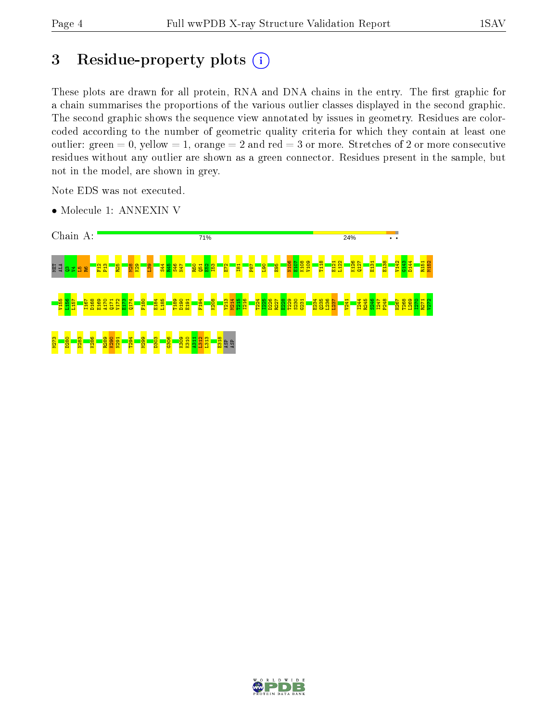# 3 Residue-property plots (i)

These plots are drawn for all protein, RNA and DNA chains in the entry. The first graphic for a chain summarises the proportions of the various outlier classes displayed in the second graphic. The second graphic shows the sequence view annotated by issues in geometry. Residues are colorcoded according to the number of geometric quality criteria for which they contain at least one outlier: green  $= 0$ , yellow  $= 1$ , orange  $= 2$  and red  $= 3$  or more. Stretches of 2 or more consecutive residues without any outlier are shown as a green connector. Residues present in the sample, but not in the model, are shown in grey.

Note EDS was not executed.

• Molecule 1: ANNEXIN V



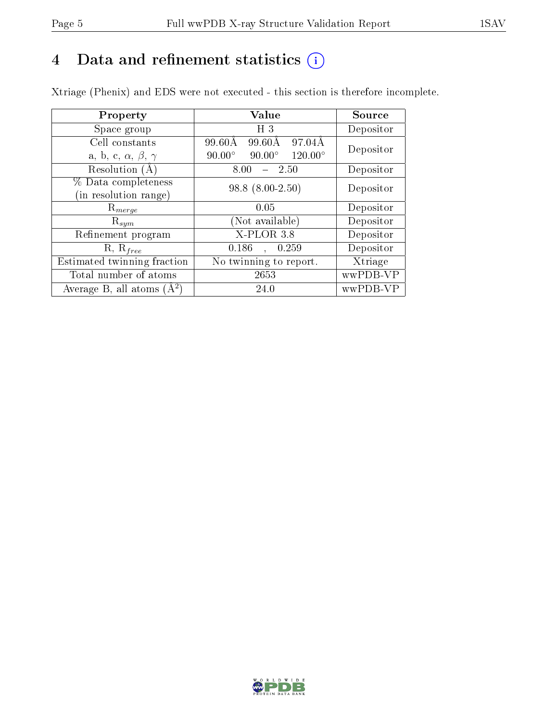## 4 Data and refinement statistics  $(i)$

Xtriage (Phenix) and EDS were not executed - this section is therefore incomplete.

| Property                               | Value                                              | Source    |  |
|----------------------------------------|----------------------------------------------------|-----------|--|
| Space group                            | H <sub>3</sub>                                     | Depositor |  |
| Cell constants                         | 99.60Å<br>97.04Å<br>99.60Å                         | Depositor |  |
| a, b, c, $\alpha$ , $\beta$ , $\gamma$ | $120.00^{\circ}$<br>$90.00^\circ$<br>$90.00^\circ$ |           |  |
| Resolution $(A)$                       | 8.00<br>-2.50                                      | Depositor |  |
| % Data completeness                    | $98.8(8.00-2.50)$                                  | Depositor |  |
| (in resolution range)                  |                                                    |           |  |
| $\mathrm{R}_{merge}$                   | 0.05                                               | Depositor |  |
| $\mathrm{R}_{sym}$                     | (Not available)                                    | Depositor |  |
| Refinement program                     | $X$ -PLOR 3.8                                      | Depositor |  |
| $R, R_{free}$                          | 0.186<br>0.259<br>$\overline{a}$                   | Depositor |  |
| Estimated twinning fraction            | No twinning to report.                             | Xtriage   |  |
| Total number of atoms                  | 2653                                               | wwPDB-VP  |  |
| Average B, all atoms $(A^2)$           | 24.0                                               | wwPDB-VP  |  |

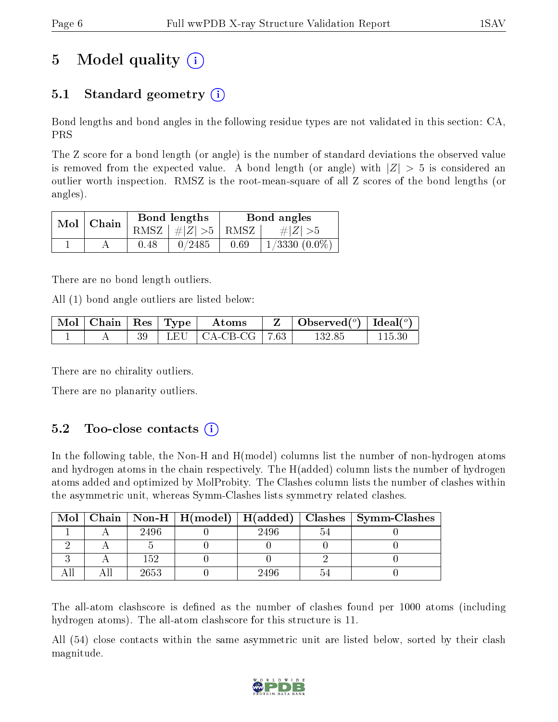# 5 Model quality  $(i)$

## 5.1 Standard geometry (i)

Bond lengths and bond angles in the following residue types are not validated in this section: CA, PRS

The Z score for a bond length (or angle) is the number of standard deviations the observed value is removed from the expected value. A bond length (or angle) with  $|Z| > 5$  is considered an outlier worth inspection. RMSZ is the root-mean-square of all Z scores of the bond lengths (or angles).

| $Mol$   Chain |      | Bond lengths                | Bond angles |                 |  |
|---------------|------|-----------------------------|-------------|-----------------|--|
|               |      | $RMSZ \mid # Z  > 5$   RMSZ |             | $\# Z  > 5$     |  |
|               | 0.48 | 0/2485                      | 0.69        | $1/3330(0.0\%)$ |  |

There are no bond length outliers.

All (1) bond angle outliers are listed below:

| Mol | $\vert$ Chain $\vert$ Res $\vert$ Type $\vert$ |     | Atoms    |     | Observed <sup>(<math>^o</math>)</sup> [Ideal( $^o$ ) |  |
|-----|------------------------------------------------|-----|----------|-----|------------------------------------------------------|--|
|     |                                                | LEH | CA-CB-CG | .63 | 132.85                                               |  |

There are no chirality outliers.

There are no planarity outliers.

## $5.2$  Too-close contacts  $(i)$

In the following table, the Non-H and H(model) columns list the number of non-hydrogen atoms and hydrogen atoms in the chain respectively. The H(added) column lists the number of hydrogen atoms added and optimized by MolProbity. The Clashes column lists the number of clashes within the asymmetric unit, whereas Symm-Clashes lists symmetry related clashes.

| Mol |      |      | Chain   Non-H   H(model)   H(added)   Clashes   Symm-Clashes |
|-----|------|------|--------------------------------------------------------------|
|     | 2496 | 2496 |                                                              |
|     |      |      |                                                              |
|     | 152  |      |                                                              |
|     | 2653 | 2496 |                                                              |

The all-atom clashscore is defined as the number of clashes found per 1000 atoms (including hydrogen atoms). The all-atom clashscore for this structure is 11.

All (54) close contacts within the same asymmetric unit are listed below, sorted by their clash magnitude.

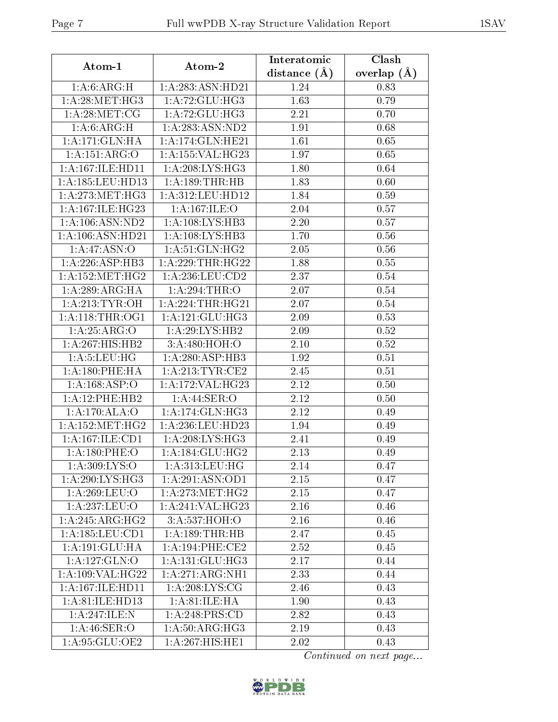| Atom-1               | Atom-2              | Interatomic       | Clash         |
|----------------------|---------------------|-------------------|---------------|
|                      |                     | distance $(A)$    | overlap $(A)$ |
| 1: A:6: ARG:H        | 1:A:283:ASN:HD21    | 1.24              | 0.83          |
| 1: A:28: MET:HG3     | 1: A:72: GLU:HG3    | 1.63              | 0.79          |
| 1: A:28: MET:CG      | 1:A:72:GLU:HG3      | 2.21              | 0.70          |
| 1: A:6: ARG:H        | 1: A: 283: ASN: ND2 | 1.91              | 0.68          |
| 1:A:171:GLN:HA       | 1:A:174:GLN:HE21    | 1.61              | 0.65          |
| 1:A:151:ARG:O        | 1:A:155:VAL:HG23    | 1.97              | 0.65          |
| $1:$ A:167:ILE:HD11  | 1: A:208: LYS: HG3  | 1.80              | 0.64          |
| 1:A:185:LEU:HD13     | 1:A:189:THR:HB      | 1.83              | 0.60          |
| 1: A:273:MET:HG3     | 1:A:312:LEU:HD12    | 1.84              | 0.59          |
| 1: A:167: ILE:HG23   | 1: A:167: ILE: O    | 2.04              | 0.57          |
| 1: A: 106: ASN: ND2  | 1:A:108:LYS:HB3     | 2.20              | 0.57          |
| 1:A:106:ASN:HD21     | 1: A: 108: LYS: HB3 | 1.70              | 0.56          |
| 1:A:47:ASN:O         | 1: A:51: GLN: HG2   | 2.05              | 0.56          |
| 1:A:226:ASP:HB3      | 1: A:229:THR:HG22   | 1.88              | 0.55          |
| 1: A: 152: MET:HG2   | 1: A:236:LEU:CD2    | 2.37              | 0.54          |
| 1:A:289:ARG:HA       | 1: A:294:THR:O      | 2.07              | 0.54          |
| 1: A:213: TYR:OH     | 1:A:224:THR:HG21    | 2.07              | 0.54          |
| 1: A:118:THR:OG1     | 1: A:121: GLU:HG3   | 2.09              | 0.53          |
| 1:A:25:ARG:O         | 1: A:29: LYS: HB2   | 2.09              | 0.52          |
| 1:A:267:HIS:HB2      | 3:A:480:HOH:O       | 2.10              | 0.52          |
| 1: A: 5: LEU: HG     | 1:A:280:ASP:HB3     | 1.92              | 0.51          |
| 1:A:180:PHE:HA       | 1:A:213:TYR:CE2     | 2.45              | 0.51          |
| 1:A:168:ASP:O        | 1:A:172:VAL:HG23    | 2.12              | 0.50          |
| 1: A:12:PHE:HB2      | 1:A:44:SER:O        | 2.12              | 0.50          |
| 1:A:170:ALA:O        | 1: A:174: GLN: HG3  | $\overline{2.12}$ | 0.49          |
| 1:A:152:MET:HG2      | 1:A:236:LEU:HD23    | 1.94              | 0.49          |
| 1:A:167:ILE:CD1      | 1: A:208:LYS:HG3    | 2.41              | 0.49          |
| 1: A: 180: PHE: O    | 1: A:184: GLU: HG2  | 2.13              | 0.49          |
| 1: A:309: LYS:O      | 1: A: 313: LEU: HG  | 2.14              | 0.47          |
| 1: A:290: LYS: HG3   | 1:A:291:ASN:OD1     | 2.15              | 0.47          |
| 1: A:269:LEU:O       | 1: A:273:MET:HG2    | 2.15              | 0.47          |
| 1:A:237:LEU:O        | 1:A:241:VAL:HG23    | 2.16              | 0.46          |
| 1:A:245:ARG:HG2      | 3:A:537:HOH:O       | 2.16              | 0.46          |
| 1: A: 185: LEU: CD1  | 1:A:189:THR:HB      | 2.47              | 0.45          |
| 1:A:191:GLU:HA       | 1: A:194:PHE:CE2    | 2.52              | 0.45          |
| 1: A: 127: GLN:O     | 1: A:131: GLU:HG3   | 2.17              | 0.44          |
| 1: A:109: VAL:HG22   | 1:A:271:ARG:NH1     | 2.33              | 0.44          |
| 1: A: 167: ILE: HD11 | 1: A:208: LYS: CG   | 2.46              | 0.43          |
| 1:A:81:ILE:HD13      | 1: A:81: ILE: HA    | 1.90              | 0.43          |
| 1:A:247:ILE:N        | 1:A:248:PRS:CD      | 2.82              | 0.43          |
| 1: A:46: SER:O       | 1:A:50:ARG:HG3      | 2.19              | 0.43          |
| 1: A:95: GLU:OE2     | 1:A:267:HIS:HE1     | 2.02              | 0.43          |

Continued on next page...

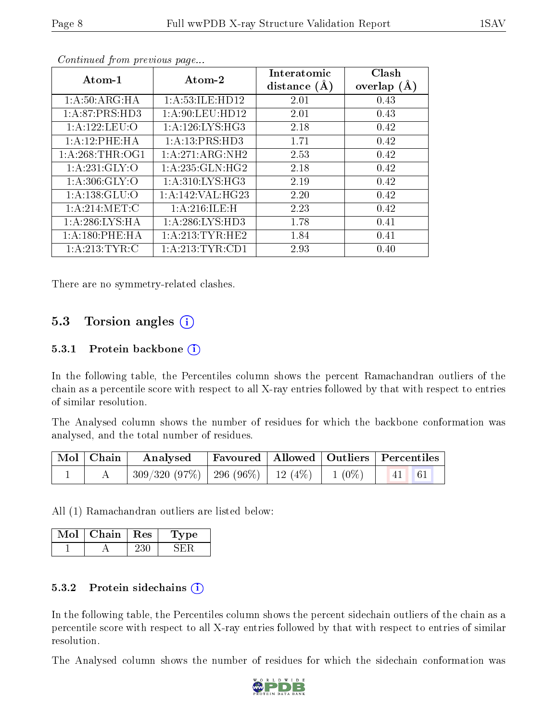| Atom-1            | Atom-2             | Interatomic<br>distance $(A)$ | Clash<br>overlap $(A)$ |
|-------------------|--------------------|-------------------------------|------------------------|
| 1: A:50: ARG:HA   | 1: A:53: ILE: HD12 | 2.01                          | 0.43                   |
| 1:A:87:PRS:HD3    | 1: A:90: LEU: HD12 | 2.01                          | 0.43                   |
| 1:A:122:LEU:O     | 1: A:126: LYS: HG3 | 2.18                          | 0.42                   |
| 1:A:12:PHE:HA     | 1: A:13: PRS:HD3   | 1.71                          | 0.42                   |
| 1: A:268:THR:OG1  | 1:A:271:ARG:NH2    | 2.53                          | 0.42                   |
| 1: A:231: GLY:O   | 1: A:235: GLN: HG2 | 2.18                          | 0.42                   |
| 1: A:306: GLY:O   | 1: A:310: LYS: HG3 | 2.19                          | 0.42                   |
| 1: A: 138: GLU:O  | 1:A:142:VAL:H G23  | 2.20                          | 0.42                   |
| 1: A:214: MET:C   | 1:A:216:ILE:H      | 2.23                          | 0.42                   |
| 1: A:286: LYS:HA  | 1: A:286:LYS:HD3   | 1.78                          | 0.41                   |
| 1: A:180: PHE: HA | 1: A:213:TYR:HE2   | 1.84                          | 0.41                   |
| 1: A:213: TYR: C  | 1: A:213: TYR: CD1 | 2.93                          | 0.40                   |

Continued from previous page...

There are no symmetry-related clashes.

### 5.3 Torsion angles  $(i)$

#### 5.3.1 Protein backbone  $(i)$

In the following table, the Percentiles column shows the percent Ramachandran outliers of the chain as a percentile score with respect to all X-ray entries followed by that with respect to entries of similar resolution.

The Analysed column shows the number of residues for which the backbone conformation was analysed, and the total number of residues.

|  | $\mid$ Mol $\mid$ Chain $\mid$ Analysed $\mid$ Favoured $\mid$ Allowed $\mid$ Outliers $\mid$ Percentiles $\mid$ |  |  |
|--|------------------------------------------------------------------------------------------------------------------|--|--|
|  | 309/320 (97%)   296 (96%)   12 (4%)   1 (0%)   41   61                                                           |  |  |

All (1) Ramachandran outliers are listed below:

| Mol | Chain | $\pm$ Res $\pm$ | 1 vpe |
|-----|-------|-----------------|-------|
|     |       |                 |       |

#### 5.3.2 Protein sidechains  $(i)$

In the following table, the Percentiles column shows the percent sidechain outliers of the chain as a percentile score with respect to all X-ray entries followed by that with respect to entries of similar resolution.

The Analysed column shows the number of residues for which the sidechain conformation was

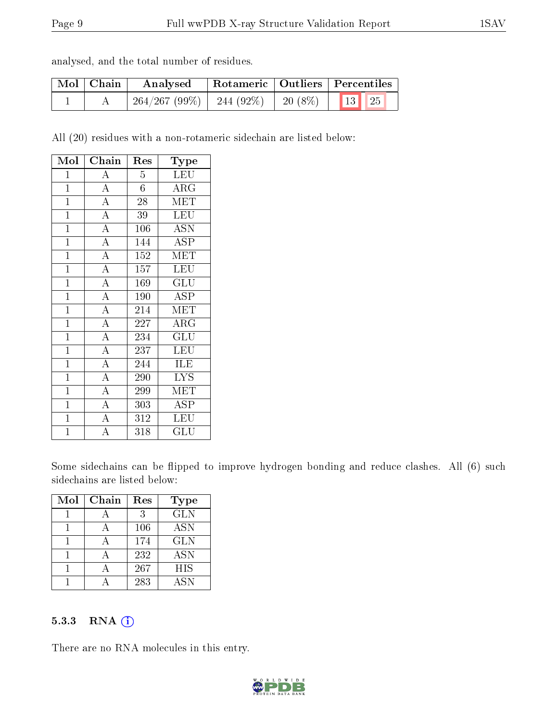| analysed, and the total number of residues. |  |  |  |  |  |  |  |
|---------------------------------------------|--|--|--|--|--|--|--|
|---------------------------------------------|--|--|--|--|--|--|--|

| $\mid$ Mol $\mid$ Chain | Analysed     |           |                       | Rotameric   Outliers   Percentiles |  |
|-------------------------|--------------|-----------|-----------------------|------------------------------------|--|
|                         | 264/267(99%) | 244 (92%) | $\mid$ 20 (8%) $\mid$ | $\vert$ 13 $\vert$ 25              |  |

All (20) residues with a non-rotameric sidechain are listed below:

| Mol            | Chain              | Res              | $_{\rm Type}$           |
|----------------|--------------------|------------------|-------------------------|
| $\mathbf{1}$   | $\boldsymbol{A}$   | $\overline{5}$   | <b>LEU</b>              |
| $\mathbf{1}$   | $\overline{A}$     | 6                | $\rm{ARG}$              |
| $\overline{1}$ | $\overline{A}$     | 28               | MET                     |
| $\overline{1}$ | $\overline{\rm A}$ | 39               | <b>LEU</b>              |
| $\mathbf{1}$   | $\overline{A}$     | 106              | <b>ASN</b>              |
| $\mathbf 1$    | $\overline{A}$     | 144              | <b>ASP</b>              |
| $\mathbf{1}$   | $\overline{\rm A}$ | 152              | $\overline{\text{MET}}$ |
| $\overline{1}$ | $\overline{A}$     | 157              | LEU                     |
| $\overline{1}$ | $\overline{A}$     | 169              | GLU                     |
| $\overline{1}$ | $\overline{A}$     | 190              | $\overline{\rm ASP}$    |
| $\overline{1}$ | $\overline{\rm A}$ | 214              | <b>MET</b>              |
| $\mathbf{1}$   | $\overline{A}$     | 227              | $\rm{ARG}$              |
| $\overline{1}$ | $\overline{\rm A}$ | 234              | $\overline{\text{GLU}}$ |
| $\mathbf{1}$   | $\overline{A}$     | 237              | LEU                     |
| $\mathbf{1}$   | $\overline{A}$     | 244              | ILE                     |
| $\mathbf{1}$   | $\overline{A}$     | 290              | <b>LYS</b>              |
| $\overline{1}$ | $\overline{\rm A}$ | 299              | MET                     |
| $\overline{1}$ | $\overline{A}$     | 303              | <b>ASP</b>              |
| $\mathbf{1}$   | $\overline{A}$     | $\overline{312}$ | LEU                     |
| $\overline{1}$ | $\overline{\rm A}$ | 318              | $\operatorname{GLU}$    |

Some sidechains can be flipped to improve hydrogen bonding and reduce clashes. All (6) such sidechains are listed below:

| Mol | Chain | Res | Type       |
|-----|-------|-----|------------|
|     |       | 3   | <b>GLN</b> |
|     |       | 106 | <b>ASN</b> |
|     |       | 174 | <b>GLN</b> |
|     |       | 232 | <b>ASN</b> |
|     |       | 267 | <b>HIS</b> |
|     |       | 283 | <b>ASN</b> |

#### 5.3.3 RNA [O](https://www.wwpdb.org/validation/2017/XrayValidationReportHelp#rna)i

There are no RNA molecules in this entry.

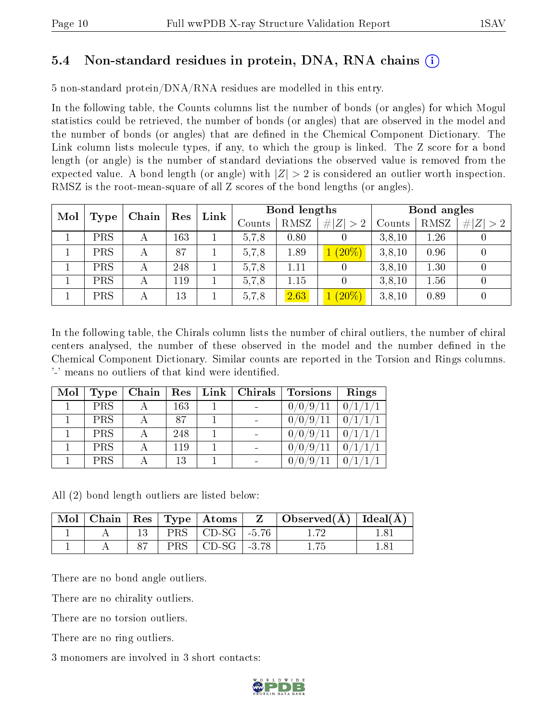## 5.4 Non-standard residues in protein, DNA, RNA chains (i)

5 non-standard protein/DNA/RNA residues are modelled in this entry.

In the following table, the Counts columns list the number of bonds (or angles) for which Mogul statistics could be retrieved, the number of bonds (or angles) that are observed in the model and the number of bonds (or angles) that are dened in the Chemical Component Dictionary. The Link column lists molecule types, if any, to which the group is linked. The Z score for a bond length (or angle) is the number of standard deviations the observed value is removed from the expected value. A bond length (or angle) with  $|Z| > 2$  is considered an outlier worth inspection. RMSZ is the root-mean-square of all Z scores of the bond lengths (or angles).

| Mol |            | Chain | Res | Link |        | Bond lengths |             |        | Bond angles |             |
|-----|------------|-------|-----|------|--------|--------------|-------------|--------|-------------|-------------|
|     | Type       |       |     |      | Counts | RMSZ         | # $ Z  > 2$ | Counts | RMSZ        | # $ Z  > 2$ |
|     | PRS        | А     | 163 |      | 5.7.8  | 0.80         |             | 3,8,10 | 1.26        | U           |
|     | PRS        |       | 87  |      | 5,7,8  | 1.89         | $1(20\%)$   | 3,8,10 | 0.96        | U           |
|     | PRS        | А     | 248 |      | 5,7,8  | 1.11         |             | 3,8,10 | 1.30        | U           |
|     | PRS        | А     | 119 |      | 5.7.8  | 1.15         |             | 3,8,10 | 1.56        | $\cup$      |
|     | <b>PRS</b> |       | 13  |      | 5,7,8  | 2.63         | $(20\%)$    | 3,8,10 | 0.89        |             |

In the following table, the Chirals column lists the number of chiral outliers, the number of chiral centers analysed, the number of these observed in the model and the number defined in the Chemical Component Dictionary. Similar counts are reported in the Torsion and Rings columns. '-' means no outliers of that kind were identified.

| Mol | Type       |     | $\alpha$ Chain   Res   Link   Chirals | <b>Torsions</b>         | Rings   |
|-----|------------|-----|---------------------------------------|-------------------------|---------|
|     | <b>PRS</b> | 163 |                                       | 0/0/9/11                | 0/1/1/1 |
|     | <b>PRS</b> | 87  |                                       | 0/0/9/<br>$^{\prime}11$ | 0/1/1   |
|     | <b>PRS</b> | 248 |                                       | 0/0/9/11                | 0/1/1   |
|     | <b>PRS</b> | 119 |                                       | 0/0/9/<br>$^{\prime}11$ |         |
|     | <b>PRS</b> | 13  |                                       | $\sqrt{9}$              |         |

All (2) bond length outliers are listed below:

|  |  |                             | $\mid$ Mol $\mid$ Chain $\mid$ Res $\mid$ Type $\mid$ Atoms $\mid$ Z $\mid$ Observed(A) $\mid$ Ideal(A) |  |
|--|--|-----------------------------|---------------------------------------------------------------------------------------------------------|--|
|  |  | $PRS \mid CD-SG \mid -5.76$ |                                                                                                         |  |
|  |  | $PRS \mid CD-SG \mid -3.78$ |                                                                                                         |  |

There are no bond angle outliers.

There are no chirality outliers.

There are no torsion outliers.

There are no ring outliers.

3 monomers are involved in 3 short contacts:

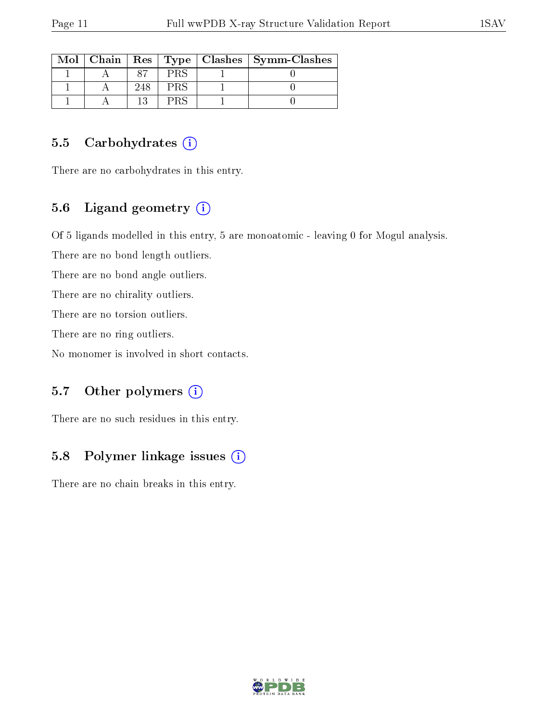|  |     | $\text{Mol}$   Chain   Res   Type   Clashes   Symm-Clashes |
|--|-----|------------------------------------------------------------|
|  | PRS |                                                            |
|  | PRS |                                                            |
|  |     |                                                            |

#### 5.5 Carbohydrates  $(i)$

There are no carbohydrates in this entry.

## 5.6 Ligand geometry  $(i)$

Of 5 ligands modelled in this entry, 5 are monoatomic - leaving 0 for Mogul analysis.

There are no bond length outliers.

There are no bond angle outliers.

There are no chirality outliers.

There are no torsion outliers.

There are no ring outliers.

No monomer is involved in short contacts.

#### 5.7 [O](https://www.wwpdb.org/validation/2017/XrayValidationReportHelp#nonstandard_residues_and_ligands)ther polymers  $(i)$

There are no such residues in this entry.

### 5.8 Polymer linkage issues  $(i)$

There are no chain breaks in this entry.